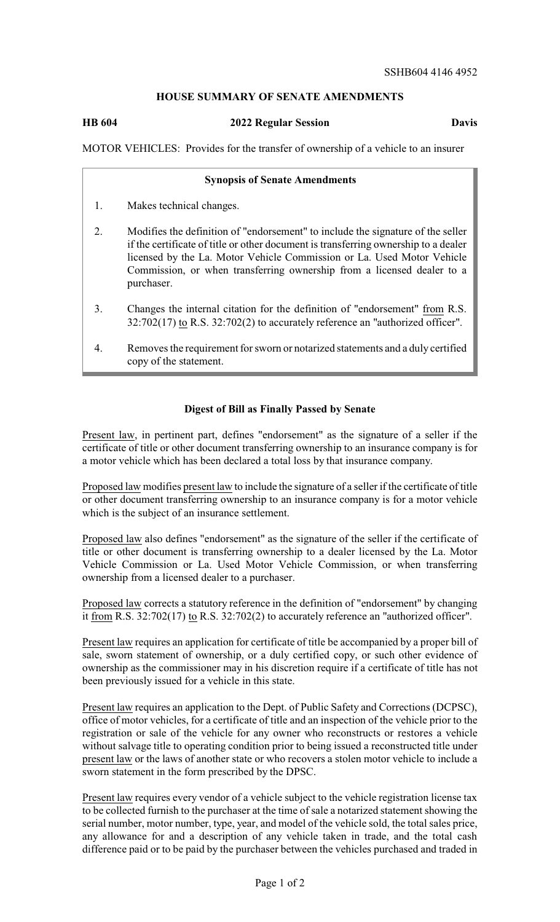# **HOUSE SUMMARY OF SENATE AMENDMENTS**

**HB 604 2022 Regular Session Davis**

MOTOR VEHICLES: Provides for the transfer of ownership of a vehicle to an insurer

#### **Synopsis of Senate Amendments**

- 1. Makes technical changes.
- 2. Modifies the definition of "endorsement" to include the signature of the seller if the certificate of title or other document is transferring ownership to a dealer licensed by the La. Motor Vehicle Commission or La. Used Motor Vehicle Commission, or when transferring ownership from a licensed dealer to a purchaser.
- 3. Changes the internal citation for the definition of "endorsement" from R.S. 32:702(17) to R.S. 32:702(2) to accurately reference an "authorized officer".
- 4. Removes the requirement for sworn or notarized statements and a duly certified copy of the statement.

### **Digest of Bill as Finally Passed by Senate**

Present law, in pertinent part, defines "endorsement" as the signature of a seller if the certificate of title or other document transferring ownership to an insurance company is for a motor vehicle which has been declared a total loss by that insurance company.

Proposed law modifies present law to include the signature of a seller if the certificate of title or other document transferring ownership to an insurance company is for a motor vehicle which is the subject of an insurance settlement.

Proposed law also defines "endorsement" as the signature of the seller if the certificate of title or other document is transferring ownership to a dealer licensed by the La. Motor Vehicle Commission or La. Used Motor Vehicle Commission, or when transferring ownership from a licensed dealer to a purchaser.

Proposed law corrects a statutory reference in the definition of "endorsement" by changing it from R.S. 32:702(17) to R.S. 32:702(2) to accurately reference an "authorized officer".

Present law requires an application for certificate of title be accompanied by a proper bill of sale, sworn statement of ownership, or a duly certified copy, or such other evidence of ownership as the commissioner may in his discretion require if a certificate of title has not been previously issued for a vehicle in this state.

Present law requires an application to the Dept. of Public Safety and Corrections (DCPSC), office of motor vehicles, for a certificate of title and an inspection of the vehicle prior to the registration or sale of the vehicle for any owner who reconstructs or restores a vehicle without salvage title to operating condition prior to being issued a reconstructed title under present law or the laws of another state or who recovers a stolen motor vehicle to include a sworn statement in the form prescribed by the DPSC.

Present law requires every vendor of a vehicle subject to the vehicle registration license tax to be collected furnish to the purchaser at the time of sale a notarized statement showing the serial number, motor number, type, year, and model of the vehicle sold, the total sales price, any allowance for and a description of any vehicle taken in trade, and the total cash difference paid or to be paid by the purchaser between the vehicles purchased and traded in